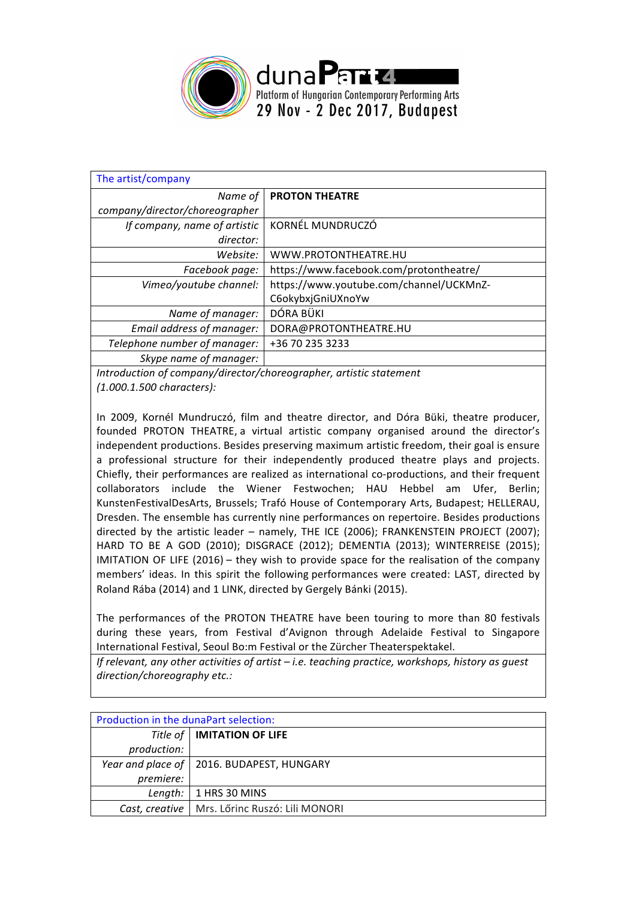

| The artist/company             |                                         |
|--------------------------------|-----------------------------------------|
| Name of                        | <b>PROTON THEATRE</b>                   |
| company/director/choreographer |                                         |
| If company, name of artistic   | KORNÉL MUNDRUCZÓ                        |
| director:                      |                                         |
| Website:                       | WWW.PROTONTHEATRE.HU                    |
| Facebook page:                 | https://www.facebook.com/protontheatre/ |
| Vimeo/youtube channel:         | https://www.youtube.com/channel/UCKMnZ- |
|                                | C6okybxjGniUXnoYw                       |
| Name of manager:               | DÓRA BÜKI                               |
| Email address of manager:      | DORA@PROTONTHEATRE.HU                   |
| Telephone number of manager:   | +36 70 235 3233                         |
| Skype name of manager:         |                                         |
|                                |                                         |

*Introduction of company/director/choreographer, artistic statement (1.000.1.500 characters):*

In 2009, Kornél Mundruczó, film and theatre director, and Dóra Büki, theatre producer, founded PROTON THEATRE, a virtual artistic company organised around the director's independent productions. Besides preserving maximum artistic freedom, their goal is ensure a professional structure for their independently produced theatre plays and projects. Chiefly, their performances are realized as international co-productions, and their frequent collaborators include the Wiener Festwochen; HAU Hebbel am Ufer, Berlin; KunstenFestivalDesArts, Brussels; Trafó House of Contemporary Arts, Budapest; HELLERAU, Dresden. The ensemble has currently nine performances on repertoire. Besides productions directed by the artistic leader – namely, THE ICE (2006); FRANKENSTEIN PROJECT (2007); HARD TO BE A GOD (2010); DISGRACE (2012); DEMENTIA (2013); WINTERREISE (2015); IMITATION OF LIFE  $(2016)$  – they wish to provide space for the realisation of the company members' ideas. In this spirit the following performances were created: LAST, directed by Roland Rába (2014) and 1 LINK, directed by Gergely Bánki (2015).

The performances of the PROTON THEATRE have been touring to more than 80 festivals during these years, from Festival d'Avignon through Adelaide Festival to Singapore International Festival, Seoul Bo:m Festival or the Zürcher Theaterspektakel.

*If* relevant, any other activities of artist – *i.e.* teaching practice, workshops, history as quest *direction/choreography etc.:*

| Production in the dunaPart selection: |                                                 |  |
|---------------------------------------|-------------------------------------------------|--|
|                                       | Title of   IMITATION OF LIFE                    |  |
| production:                           |                                                 |  |
|                                       | Year and place of   2016. BUDAPEST, HUNGARY     |  |
| premiere:                             |                                                 |  |
| Length:                               | 1 HRS 30 MINS                                   |  |
|                                       | Cast, creative   Mrs. Lőrinc Ruszó: Lili MONORI |  |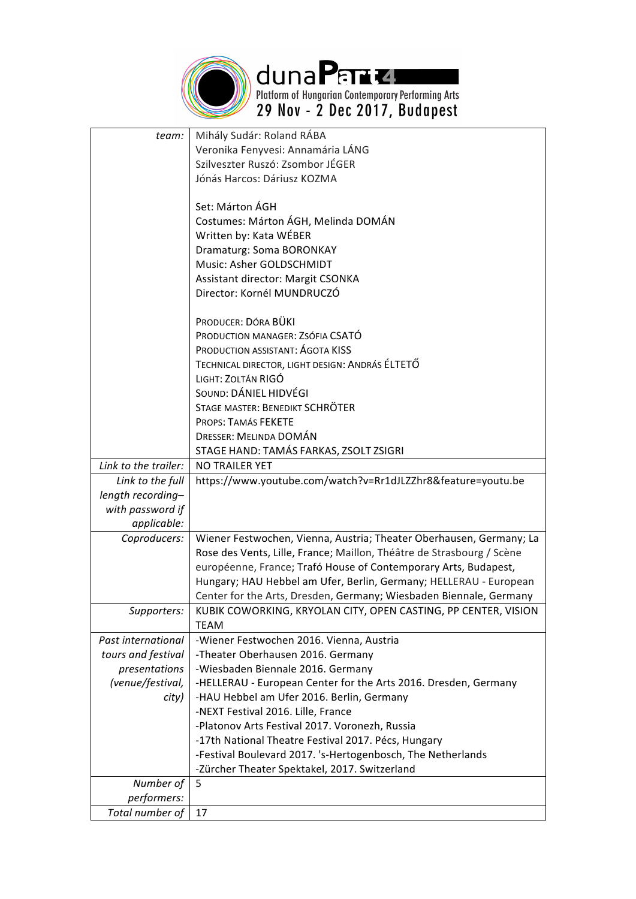

duna Parte.<br>Platform of Hungarian Contemporary Performing Arts<br>29 Nov - 2 Dec 2017, Budapest

| team:                | Mihály Sudár: Roland RÁBA                                             |
|----------------------|-----------------------------------------------------------------------|
|                      | Veronika Fenyvesi: Annamária LÁNG                                     |
|                      | Szilveszter Ruszó: Zsombor JÉGER                                      |
|                      | Jónás Harcos: Dáriusz KOZMA                                           |
|                      |                                                                       |
|                      | Set: Márton ÁGH                                                       |
|                      | Costumes: Márton ÁGH, Melinda DOMÁN                                   |
|                      | Written by: Kata WÉBER                                                |
|                      | Dramaturg: Soma BORONKAY                                              |
|                      | Music: Asher GOLDSCHMIDT                                              |
|                      | Assistant director: Margit CSONKA                                     |
|                      | Director: Kornél MUNDRUCZÓ                                            |
|                      | PRODUCER: DÓRA BÜKI                                                   |
|                      | PRODUCTION MANAGER: ZSÓFIA CSATÓ                                      |
|                      | PRODUCTION ASSISTANT: AGOTA KISS                                      |
|                      | TECHNICAL DIRECTOR, LIGHT DESIGN: ANDRÁS ÉLTETŐ                       |
|                      | LIGHT: ZOLTÁN RIGÓ                                                    |
|                      | SOUND: DÁNIEL HIDVÉGI                                                 |
|                      | STAGE MASTER: BENEDIKT SCHRÖTER                                       |
|                      | PROPS: TAMÁS FEKETE                                                   |
|                      | DRESSER: MELINDA DOMÁN                                                |
|                      | STAGE HAND: TAMÁS FARKAS, ZSOLT ZSIGRI                                |
| Link to the trailer: | <b>NO TRAILER YET</b>                                                 |
|                      | https://www.youtube.com/watch?v=Rr1dJLZZhr8&feature=youtu.be          |
| Link to the full     |                                                                       |
| length recording-    |                                                                       |
| with password if     |                                                                       |
| applicable:          |                                                                       |
| Coproducers:         | Wiener Festwochen, Vienna, Austria; Theater Oberhausen, Germany; La   |
|                      | Rose des Vents, Lille, France; Maillon, Théâtre de Strasbourg / Scène |
|                      | européenne, France; Trafó House of Contemporary Arts, Budapest,       |
|                      | Hungary; HAU Hebbel am Ufer, Berlin, Germany; HELLERAU - European     |
|                      | Center for the Arts, Dresden, Germany; Wiesbaden Biennale, Germany    |
| Supporters:          | KUBIK COWORKING, KRYOLAN CITY, OPEN CASTING, PP CENTER, VISION        |
|                      | <b>TEAM</b>                                                           |
| Past international   | -Wiener Festwochen 2016. Vienna, Austria                              |
| tours and festival   | -Theater Oberhausen 2016. Germany                                     |
| presentations        | -Wiesbaden Biennale 2016. Germany                                     |
| (venue/festival,     | -HELLERAU - European Center for the Arts 2016. Dresden, Germany       |
| city)                | -HAU Hebbel am Ufer 2016. Berlin, Germany                             |
|                      | -NEXT Festival 2016. Lille, France                                    |
|                      | -Platonov Arts Festival 2017. Voronezh, Russia                        |
|                      | -17th National Theatre Festival 2017. Pécs, Hungary                   |
|                      | -Festival Boulevard 2017. 's-Hertogenbosch, The Netherlands           |
|                      | -Zürcher Theater Spektakel, 2017. Switzerland                         |
| Number of            | 5                                                                     |
| performers:          |                                                                       |
| Total number of      | 17                                                                    |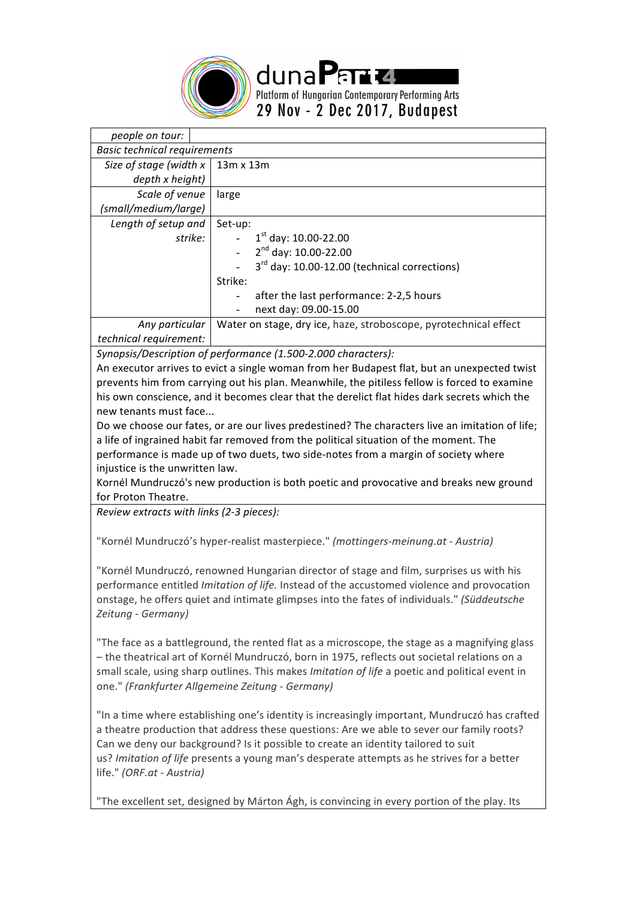

*people on tour: Basic technical requirements* Size of stage (width x *depth x height)* 13m x 13m *Scale of venue (small/medium/large)* large Length of setup and *strike:* Set-up:  $1<sup>st</sup>$  day: 10.00-22.00  $2^{nd}$  day: 10.00-22.00  $3<sup>rd</sup>$  day: 10.00-12.00 (technical corrections) Strike: after the last performance: 2-2,5 hours next day: 09.00-15.00 *Any particular*  Water on stage, dry ice, haze, stroboscope, pyrotechnical effect

duna Parta

Platform of Hungarian Contemporary Performing Arts 29 Nov - 2 Dec 2017, Budapest

*technical requirement:*

*Synopsis/Description of performance (1.500-2.000 characters):*

An executor arrives to evict a single woman from her Budapest flat, but an unexpected twist prevents him from carrying out his plan. Meanwhile, the pitiless fellow is forced to examine his own conscience, and it becomes clear that the derelict flat hides dark secrets which the new tenants must face...

Do we choose our fates, or are our lives predestined? The characters live an imitation of life; a life of ingrained habit far removed from the political situation of the moment. The performance is made up of two duets, two side-notes from a margin of society where injustice is the unwritten law.

Kornél Mundruczó's new production is both poetic and provocative and breaks new ground for Proton Theatre.

*Review extracts with links (2-3 pieces):* 

"Kornél Mundruczó's hyper-realist masterpiece." *(mottingers-meinung.at - Austria)*

"Kornél Mundruczó, renowned Hungarian director of stage and film, surprises us with his performance entitled *Imitation of life*. Instead of the accustomed violence and provocation onstage, he offers quiet and intimate glimpses into the fates of individuals." *(Süddeutsche Zeitung - Germany)*

"The face as a battleground, the rented flat as a microscope, the stage as a magnifying glass – the theatrical art of Kornél Mundruczó, born in 1975, reflects out societal relations on a small scale, using sharp outlines. This makes *Imitation of life* a poetic and political event in one." *(Frankfurter Allgemeine Zeitung - Germany)*

"In a time where establishing one's identity is increasingly important, Mundruczó has crafted a theatre production that address these questions: Are we able to sever our family roots? Can we deny our background? Is it possible to create an identity tailored to suit us? *Imitation of life* presents a young man's desperate attempts as he strives for a better life." *(ORF.at - Austria)*

"The excellent set, designed by Márton Ágh, is convincing in every portion of the play. Its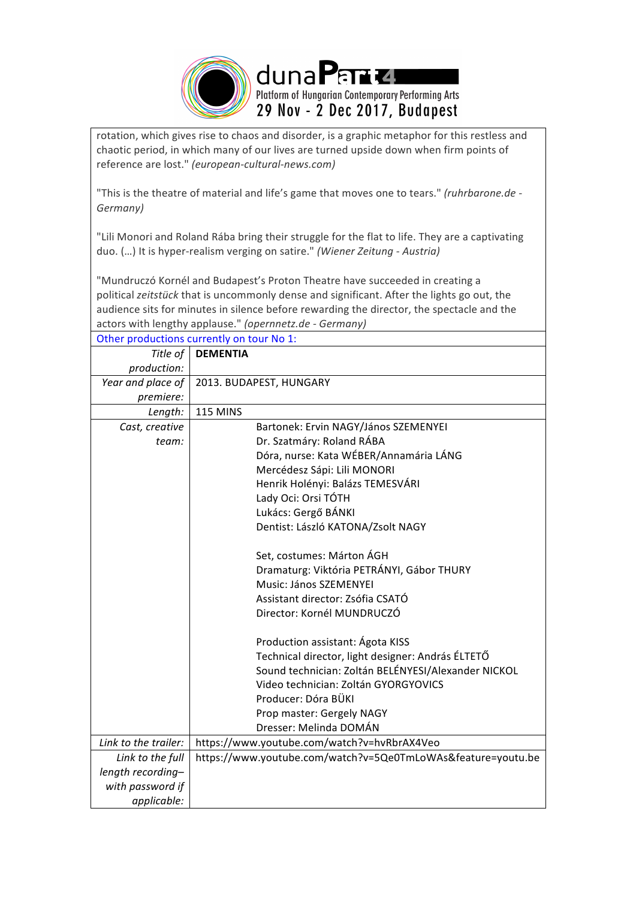

rotation, which gives rise to chaos and disorder, is a graphic metaphor for this restless and chaotic period, in which many of our lives are turned upside down when firm points of reference are lost." *(european-cultural-news.com)*

"This is the theatre of material and life's game that moves one to tears." *(ruhrbarone.de -Germany)*

"Lili Monori and Roland Rába bring their struggle for the flat to life. They are a captivating duo. (...) It is hyper-realism verging on satire." *(Wiener Zeitung - Austria)* 

"Mundruczó Kornél and Budapest's Proton Theatre have succeeded in creating a political zeitstück that is uncommonly dense and significant. After the lights go out, the audience sits for minutes in silence before rewarding the director, the spectacle and the actors with lengthy applause." *(opernnetz.de - Germany)*

| Other productions currently on tour No 1: |                                                              |  |
|-------------------------------------------|--------------------------------------------------------------|--|
| Title of                                  | <b>DEMENTIA</b>                                              |  |
| production:                               |                                                              |  |
| Year and place of                         | 2013. BUDAPEST, HUNGARY                                      |  |
| premiere:                                 |                                                              |  |
| Length:                                   | <b>115 MINS</b>                                              |  |
| Cast, creative                            | Bartonek: Ervin NAGY/János SZEMENYEI                         |  |
| team:                                     | Dr. Szatmáry: Roland RÁBA                                    |  |
|                                           | Dóra, nurse: Kata WÉBER/Annamária LÁNG                       |  |
|                                           | Mercédesz Sápi: Lili MONORI                                  |  |
|                                           | Henrik Holényi: Balázs TEMESVÁRI                             |  |
|                                           | Lady Oci: Orsi TÓTH                                          |  |
|                                           | Lukács: Gergő BÁNKI                                          |  |
|                                           | Dentist: László KATONA/Zsolt NAGY                            |  |
|                                           |                                                              |  |
|                                           | Set, costumes: Márton ÁGH                                    |  |
|                                           | Dramaturg: Viktória PETRÁNYI, Gábor THURY                    |  |
|                                           | Music: János SZEMENYEI                                       |  |
|                                           | Assistant director: Zsófia CSATÓ                             |  |
|                                           | Director: Kornél MUNDRUCZÓ                                   |  |
|                                           |                                                              |  |
|                                           | Production assistant: Ágota KISS                             |  |
|                                           | Technical director, light designer: András ÉLTETŐ            |  |
|                                           | Sound technician: Zoltán BELÉNYESI/Alexander NICKOL          |  |
|                                           | Video technician: Zoltán GYORGYOVICS                         |  |
|                                           | Producer: Dóra BÜKI                                          |  |
|                                           | Prop master: Gergely NAGY                                    |  |
|                                           | Dresser: Melinda DOMÁN                                       |  |
| Link to the trailer:                      | https://www.youtube.com/watch?v=hvRbrAX4Veo                  |  |
| Link to the full                          | https://www.youtube.com/watch?v=5Qe0TmLoWAs&feature=youtu.be |  |
| length recording-                         |                                                              |  |
| with password if                          |                                                              |  |
| applicable:                               |                                                              |  |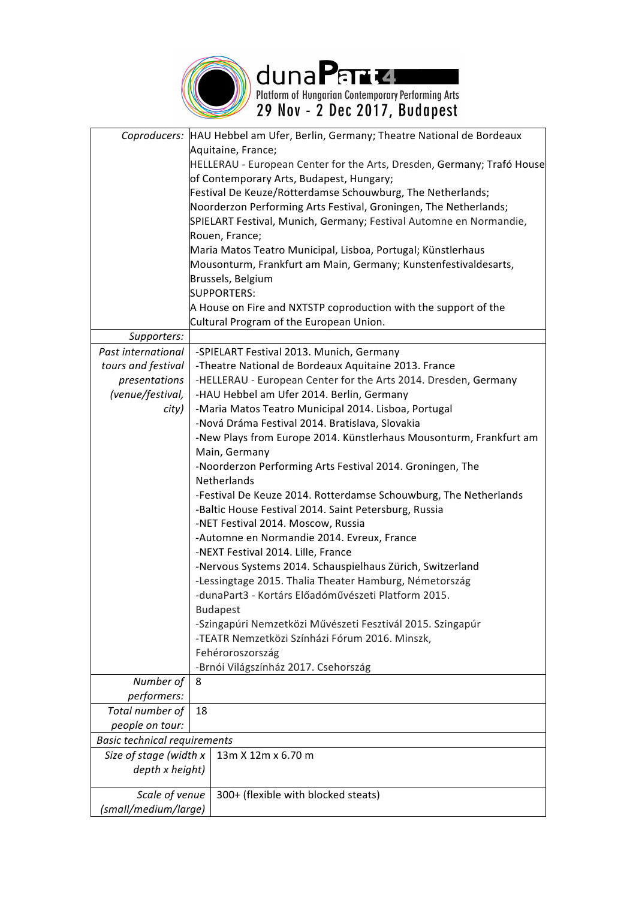

duna Parte Republicans Arts<br>Platform of Hungarian Contemporary Performing Arts<br>29 Nov - 2 Dec 2017, Budapest

|                                     | Coproducers: HAU Hebbel am Ufer, Berlin, Germany; Theatre National de Bordeaux                          |  |
|-------------------------------------|---------------------------------------------------------------------------------------------------------|--|
|                                     | Aquitaine, France;<br>HELLERAU - European Center for the Arts, Dresden, Germany; Trafó House            |  |
|                                     | of Contemporary Arts, Budapest, Hungary;                                                                |  |
|                                     | Festival De Keuze/Rotterdamse Schouwburg, The Netherlands;                                              |  |
|                                     | Noorderzon Performing Arts Festival, Groningen, The Netherlands;                                        |  |
|                                     | SPIELART Festival, Munich, Germany; Festival Automne en Normandie,                                      |  |
|                                     | Rouen, France;                                                                                          |  |
|                                     | Maria Matos Teatro Municipal, Lisboa, Portugal; Künstlerhaus                                            |  |
|                                     | Mousonturm, Frankfurt am Main, Germany; Kunstenfestivaldesarts,                                         |  |
|                                     | Brussels, Belgium                                                                                       |  |
|                                     | <b>SUPPORTERS:</b>                                                                                      |  |
|                                     | A House on Fire and NXTSTP coproduction with the support of the                                         |  |
|                                     | Cultural Program of the European Union.                                                                 |  |
| Supporters:                         |                                                                                                         |  |
| Past international                  | -SPIELART Festival 2013. Munich, Germany                                                                |  |
| tours and festival                  | -Theatre National de Bordeaux Aquitaine 2013. France                                                    |  |
| presentations                       | -HELLERAU - European Center for the Arts 2014. Dresden, Germany                                         |  |
| (venue/festival,                    | -HAU Hebbel am Ufer 2014. Berlin, Germany                                                               |  |
| city)                               | -Maria Matos Teatro Municipal 2014. Lisboa, Portugal<br>-Nová Dráma Festival 2014. Bratislava, Slovakia |  |
|                                     | -New Plays from Europe 2014. Künstlerhaus Mousonturm, Frankfurt am                                      |  |
|                                     |                                                                                                         |  |
|                                     | Main, Germany<br>-Noorderzon Performing Arts Festival 2014. Groningen, The                              |  |
|                                     | Netherlands                                                                                             |  |
|                                     | -Festival De Keuze 2014. Rotterdamse Schouwburg, The Netherlands                                        |  |
|                                     | -Baltic House Festival 2014. Saint Petersburg, Russia                                                   |  |
|                                     | -NET Festival 2014. Moscow, Russia                                                                      |  |
|                                     | -Automne en Normandie 2014. Evreux, France                                                              |  |
|                                     | -NEXT Festival 2014. Lille, France                                                                      |  |
|                                     | -Nervous Systems 2014. Schauspielhaus Zürich, Switzerland                                               |  |
|                                     | -Lessingtage 2015. Thalia Theater Hamburg, Németország                                                  |  |
|                                     | -dunaPart3 - Kortárs Előadóművészeti Platform 2015.                                                     |  |
|                                     | <b>Budapest</b>                                                                                         |  |
|                                     | -Szingapúri Nemzetközi Művészeti Fesztivál 2015. Szingapúr                                              |  |
|                                     | -TEATR Nemzetközi Színházi Fórum 2016. Minszk,                                                          |  |
|                                     | Fehéroroszország                                                                                        |  |
|                                     | -Brnói Világszínház 2017. Csehország                                                                    |  |
| Number of<br>performers:            | 8                                                                                                       |  |
| Total number of                     | 18                                                                                                      |  |
| people on tour:                     |                                                                                                         |  |
| <b>Basic technical requirements</b> |                                                                                                         |  |
| Size of stage (width x              | 13m X 12m x 6.70 m                                                                                      |  |
| depth x height)                     |                                                                                                         |  |
| Scale of venue                      | 300+ (flexible with blocked steats)                                                                     |  |
| (small/medium/large)                |                                                                                                         |  |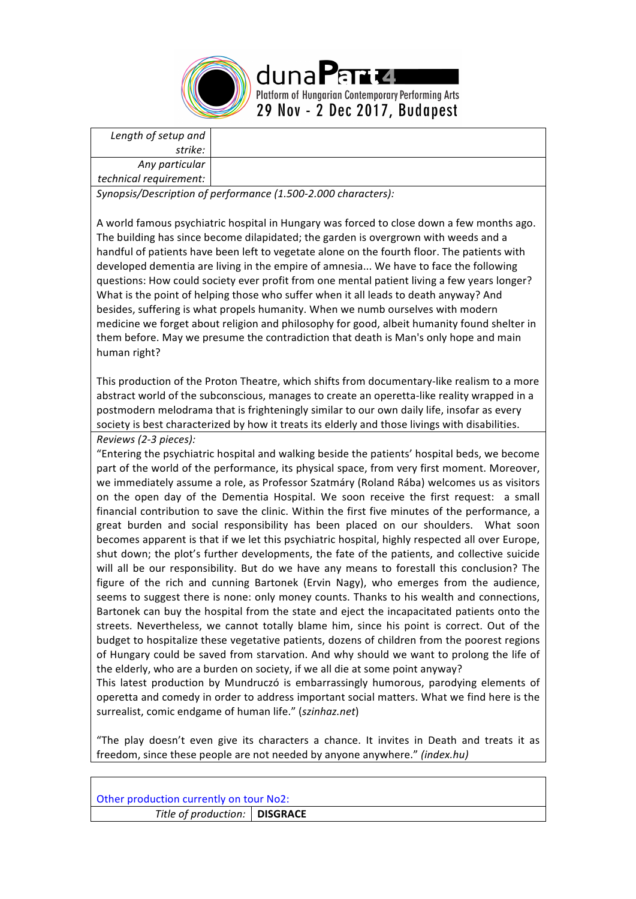

|  | Length of setup and |
|--|---------------------|
|--|---------------------|

*strike: Any particular* 

*technical requirement:*

*Synopsis/Description of performance (1.500-2.000 characters):*

A world famous psychiatric hospital in Hungary was forced to close down a few months ago. The building has since become dilapidated; the garden is overgrown with weeds and a handful of patients have been left to vegetate alone on the fourth floor. The patients with developed dementia are living in the empire of amnesia... We have to face the following questions: How could society ever profit from one mental patient living a few years longer? What is the point of helping those who suffer when it all leads to death anyway? And besides, suffering is what propels humanity. When we numb ourselves with modern medicine we forget about religion and philosophy for good, albeit humanity found shelter in them before. May we presume the contradiction that death is Man's only hope and main human right?

This production of the Proton Theatre, which shifts from documentary-like realism to a more abstract world of the subconscious, manages to create an operetta-like reality wrapped in a postmodern melodrama that is frighteningly similar to our own daily life, insofar as every society is best characterized by how it treats its elderly and those livings with disabilities. *Reviews (2-3 pieces):* 

"Entering the psychiatric hospital and walking beside the patients' hospital beds, we become part of the world of the performance, its physical space, from very first moment. Moreover, we immediately assume a role, as Professor Szatmáry (Roland Rába) welcomes us as visitors on the open day of the Dementia Hospital. We soon receive the first request: a small financial contribution to save the clinic. Within the first five minutes of the performance, a great burden and social responsibility has been placed on our shoulders. What soon becomes apparent is that if we let this psychiatric hospital, highly respected all over Europe, shut down; the plot's further developments, the fate of the patients, and collective suicide will all be our responsibility. But do we have any means to forestall this conclusion? The figure of the rich and cunning Bartonek (Ervin Nagy), who emerges from the audience, seems to suggest there is none: only money counts. Thanks to his wealth and connections, Bartonek can buy the hospital from the state and eject the incapacitated patients onto the streets. Nevertheless, we cannot totally blame him, since his point is correct. Out of the budget to hospitalize these vegetative patients, dozens of children from the poorest regions of Hungary could be saved from starvation. And why should we want to prolong the life of the elderly, who are a burden on society, if we all die at some point anyway?

This latest production by Mundruczó is embarrassingly humorous, parodying elements of operetta and comedy in order to address important social matters. What we find here is the surrealist, comic endgame of human life." (szinhaz.net)

"The play doesn't even give its characters a chance. It invites in Death and treats it as freedom, since these people are not needed by anyone anywhere." *(index.hu)* 

| Other production currently on tour No2: |  |  |  |
|-----------------------------------------|--|--|--|
| Title of production:   DISGRACE         |  |  |  |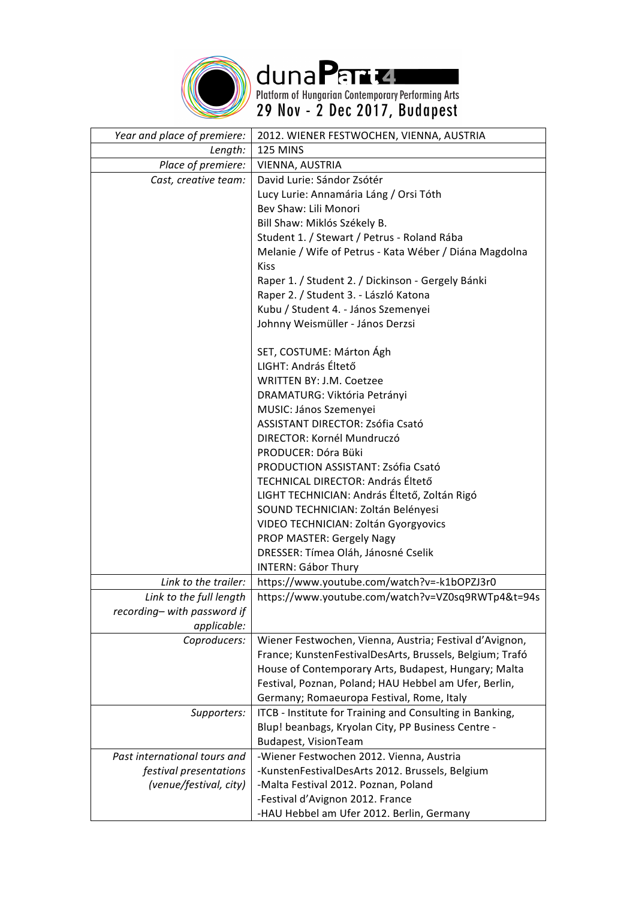

duna Para 2.<br>Platform of Hungarian Contemporary Performing Arts<br>29 Nov - 2 Dec 2017, Budapest

| Year and place of premiere:  | 2012. WIENER FESTWOCHEN, VIENNA, AUSTRIA                                                                       |
|------------------------------|----------------------------------------------------------------------------------------------------------------|
| Length:                      | 125 MINS                                                                                                       |
| Place of premiere:           | VIENNA, AUSTRIA                                                                                                |
| Cast, creative team:         | David Lurie: Sándor Zsótér                                                                                     |
|                              | Lucy Lurie: Annamária Láng / Orsi Tóth                                                                         |
|                              | Bev Shaw: Lili Monori                                                                                          |
|                              | Bill Shaw: Miklós Székely B.                                                                                   |
|                              | Student 1. / Stewart / Petrus - Roland Rába                                                                    |
|                              | Melanie / Wife of Petrus - Kata Wéber / Diána Magdolna                                                         |
|                              | <b>Kiss</b>                                                                                                    |
|                              | Raper 1. / Student 2. / Dickinson - Gergely Bánki                                                              |
|                              | Raper 2. / Student 3. - László Katona                                                                          |
|                              | Kubu / Student 4. - János Szemenyei                                                                            |
|                              | Johnny Weismüller - János Derzsi                                                                               |
|                              | SET, COSTUME: Márton Ágh                                                                                       |
|                              | LIGHT: András Éltető                                                                                           |
|                              | <b>WRITTEN BY: J.M. Coetzee</b>                                                                                |
|                              | DRAMATURG: Viktória Petrányi                                                                                   |
|                              | MUSIC: János Szemenyei                                                                                         |
|                              | ASSISTANT DIRECTOR: Zsófia Csató                                                                               |
|                              | DIRECTOR: Kornél Mundruczó                                                                                     |
|                              | PRODUCER: Dóra Büki                                                                                            |
|                              | PRODUCTION ASSISTANT: Zsófia Csató                                                                             |
|                              | TECHNICAL DIRECTOR: András Éltető                                                                              |
|                              | LIGHT TECHNICIAN: András Éltető, Zoltán Rigó                                                                   |
|                              | SOUND TECHNICIAN: Zoltán Belényesi                                                                             |
|                              | VIDEO TECHNICIAN: Zoltán Gyorgyovics                                                                           |
|                              | PROP MASTER: Gergely Nagy                                                                                      |
|                              | DRESSER: Tímea Oláh, Jánosné Cselik                                                                            |
|                              | <b>INTERN: Gábor Thury</b>                                                                                     |
| Link to the trailer:         | https://www.youtube.com/watch?v=-k1bOPZJ3r0                                                                    |
| Link to the full length      | https://www.youtube.com/watch?v=VZ0sq9RWTp4&t=94s                                                              |
| recording- with password if  |                                                                                                                |
| applicable:                  |                                                                                                                |
| Coproducers:                 | Wiener Festwochen, Vienna, Austria; Festival d'Avignon,                                                        |
|                              | France; KunstenFestivalDesArts, Brussels, Belgium; Trafó                                                       |
|                              | House of Contemporary Arts, Budapest, Hungary; Malta                                                           |
|                              | Festival, Poznan, Poland; HAU Hebbel am Ufer, Berlin,                                                          |
|                              | Germany; Romaeuropa Festival, Rome, Italy                                                                      |
| Supporters:                  | ITCB - Institute for Training and Consulting in Banking,<br>Blup! beanbags, Kryolan City, PP Business Centre - |
|                              | Budapest, VisionTeam                                                                                           |
| Past international tours and | -Wiener Festwochen 2012. Vienna, Austria                                                                       |
| festival presentations       | -KunstenFestivalDesArts 2012. Brussels, Belgium                                                                |
| (venue/festival, city)       | -Malta Festival 2012. Poznan, Poland                                                                           |
|                              | -Festival d'Avignon 2012. France                                                                               |
|                              | -HAU Hebbel am Ufer 2012. Berlin, Germany                                                                      |
|                              |                                                                                                                |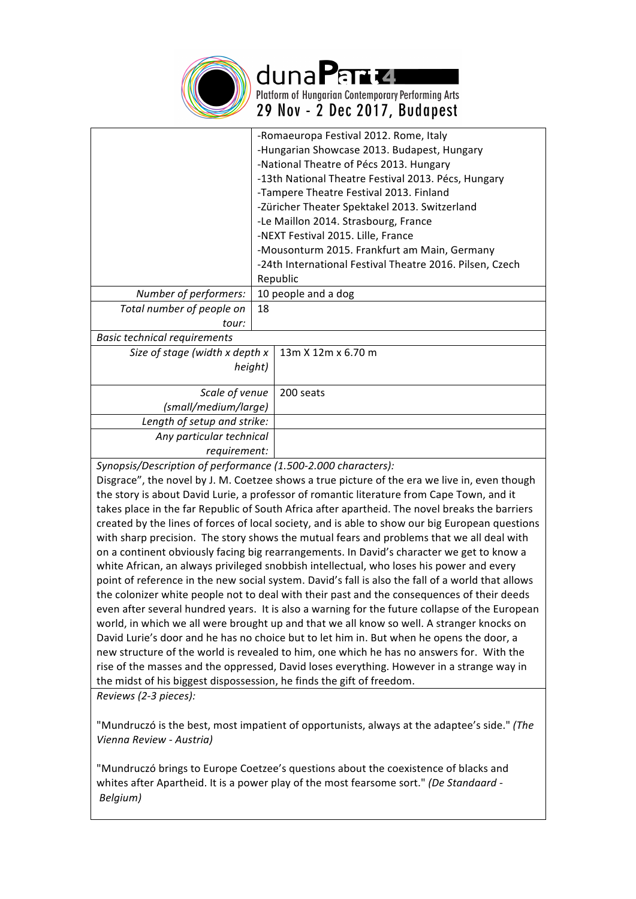

duna Partu Platform of Hungarian Contemporary Performing Arts 29 Nov - 2 Dec 2017, Budapest

|                                                               | -Romaeuropa Festival 2012. Rome, Italy                   |
|---------------------------------------------------------------|----------------------------------------------------------|
|                                                               | -Hungarian Showcase 2013. Budapest, Hungary              |
|                                                               | -National Theatre of Pécs 2013. Hungary                  |
|                                                               | -13th National Theatre Festival 2013. Pécs, Hungary      |
|                                                               | -Tampere Theatre Festival 2013. Finland                  |
|                                                               | -Züricher Theater Spektakel 2013. Switzerland            |
|                                                               | -Le Maillon 2014. Strasbourg, France                     |
|                                                               | -NEXT Festival 2015. Lille, France                       |
|                                                               | -Mousonturm 2015. Frankfurt am Main, Germany             |
|                                                               | -24th International Festival Theatre 2016. Pilsen, Czech |
|                                                               | Republic                                                 |
| Number of performers:                                         | 10 people and a dog                                      |
| Total number of people on                                     | 18                                                       |
| tour:                                                         |                                                          |
| <b>Basic technical requirements</b>                           |                                                          |
| Size of stage (width x depth x                                | 13m X 12m x 6.70 m                                       |
|                                                               | height)                                                  |
|                                                               |                                                          |
| Scale of venue                                                | 200 seats                                                |
| (small/medium/large)                                          |                                                          |
| Length of setup and strike:                                   |                                                          |
| Any particular technical                                      |                                                          |
| requirement:                                                  |                                                          |
| Synonsis/Description of performance (1,500-2,000 characters): |                                                          |

*Synopsis/Description of performance (1.500-2.000 characters):*

Disgrace", the novel by J. M. Coetzee shows a true picture of the era we live in, even though the story is about David Lurie, a professor of romantic literature from Cape Town, and it takes place in the far Republic of South Africa after apartheid. The novel breaks the barriers created by the lines of forces of local society, and is able to show our big European questions with sharp precision. The story shows the mutual fears and problems that we all deal with on a continent obviously facing big rearrangements. In David's character we get to know a white African, an always privileged snobbish intellectual, who loses his power and every point of reference in the new social system. David's fall is also the fall of a world that allows the colonizer white people not to deal with their past and the consequences of their deeds even after several hundred years. It is also a warning for the future collapse of the European world, in which we all were brought up and that we all know so well. A stranger knocks on David Lurie's door and he has no choice but to let him in. But when he opens the door, a new structure of the world is revealed to him, one which he has no answers for. With the rise of the masses and the oppressed, David loses everything. However in a strange way in the midst of his biggest dispossession, he finds the gift of freedom. *Reviews (2-3 pieces):* 

"Mundruczó is the best, most impatient of opportunists, always at the adaptee's side." (The *Vienna Review - Austria)*

"Mundruczó brings to Europe Coetzee's questions about the coexistence of blacks and whites after Apartheid. It is a power play of the most fearsome sort." *(De Standaard -Belgium)*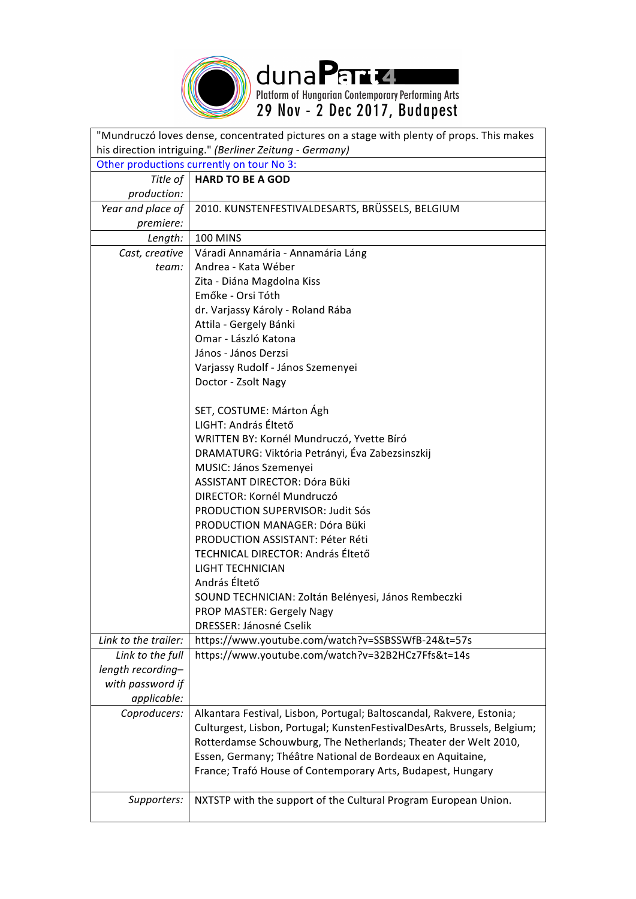

duna Parte Republicans Arts<br>Platform of Hungarian Contemporary Performing Arts<br>29 Nov - 2 Dec 2017, Budapest

| "Mundruczó loves dense, concentrated pictures on a stage with plenty of props. This makes                        |                                                                                                                                                                                                                                                                                                                                                                                                                                                                                                                                                                                                                                                                           |  |
|------------------------------------------------------------------------------------------------------------------|---------------------------------------------------------------------------------------------------------------------------------------------------------------------------------------------------------------------------------------------------------------------------------------------------------------------------------------------------------------------------------------------------------------------------------------------------------------------------------------------------------------------------------------------------------------------------------------------------------------------------------------------------------------------------|--|
| his direction intriguing." (Berliner Zeitung - Germany)                                                          |                                                                                                                                                                                                                                                                                                                                                                                                                                                                                                                                                                                                                                                                           |  |
| Other productions currently on tour No 3:                                                                        |                                                                                                                                                                                                                                                                                                                                                                                                                                                                                                                                                                                                                                                                           |  |
| Title of                                                                                                         | <b>HARD TO BE A GOD</b>                                                                                                                                                                                                                                                                                                                                                                                                                                                                                                                                                                                                                                                   |  |
| production:                                                                                                      |                                                                                                                                                                                                                                                                                                                                                                                                                                                                                                                                                                                                                                                                           |  |
| Year and place of                                                                                                | 2010. KUNSTENFESTIVALDESARTS, BRÜSSELS, BELGIUM                                                                                                                                                                                                                                                                                                                                                                                                                                                                                                                                                                                                                           |  |
| premiere:                                                                                                        |                                                                                                                                                                                                                                                                                                                                                                                                                                                                                                                                                                                                                                                                           |  |
| Length:                                                                                                          | <b>100 MINS</b>                                                                                                                                                                                                                                                                                                                                                                                                                                                                                                                                                                                                                                                           |  |
| Cast, creative                                                                                                   | Váradi Annamária - Annamária Láng                                                                                                                                                                                                                                                                                                                                                                                                                                                                                                                                                                                                                                         |  |
| team:                                                                                                            | Andrea - Kata Wéber                                                                                                                                                                                                                                                                                                                                                                                                                                                                                                                                                                                                                                                       |  |
|                                                                                                                  | Zita - Diána Magdolna Kiss                                                                                                                                                                                                                                                                                                                                                                                                                                                                                                                                                                                                                                                |  |
|                                                                                                                  | Emőke - Orsi Tóth                                                                                                                                                                                                                                                                                                                                                                                                                                                                                                                                                                                                                                                         |  |
|                                                                                                                  | dr. Varjassy Károly - Roland Rába                                                                                                                                                                                                                                                                                                                                                                                                                                                                                                                                                                                                                                         |  |
|                                                                                                                  | Attila - Gergely Bánki                                                                                                                                                                                                                                                                                                                                                                                                                                                                                                                                                                                                                                                    |  |
|                                                                                                                  | Omar - László Katona                                                                                                                                                                                                                                                                                                                                                                                                                                                                                                                                                                                                                                                      |  |
|                                                                                                                  | János - János Derzsi                                                                                                                                                                                                                                                                                                                                                                                                                                                                                                                                                                                                                                                      |  |
|                                                                                                                  | Varjassy Rudolf - János Szemenyei                                                                                                                                                                                                                                                                                                                                                                                                                                                                                                                                                                                                                                         |  |
|                                                                                                                  |                                                                                                                                                                                                                                                                                                                                                                                                                                                                                                                                                                                                                                                                           |  |
|                                                                                                                  |                                                                                                                                                                                                                                                                                                                                                                                                                                                                                                                                                                                                                                                                           |  |
|                                                                                                                  | LIGHT: András Éltető                                                                                                                                                                                                                                                                                                                                                                                                                                                                                                                                                                                                                                                      |  |
|                                                                                                                  | WRITTEN BY: Kornél Mundruczó, Yvette Bíró                                                                                                                                                                                                                                                                                                                                                                                                                                                                                                                                                                                                                                 |  |
|                                                                                                                  | DRAMATURG: Viktória Petrányi, Éva Zabezsinszkij                                                                                                                                                                                                                                                                                                                                                                                                                                                                                                                                                                                                                           |  |
|                                                                                                                  | MUSIC: János Szemenyei                                                                                                                                                                                                                                                                                                                                                                                                                                                                                                                                                                                                                                                    |  |
|                                                                                                                  | ASSISTANT DIRECTOR: Dóra Büki                                                                                                                                                                                                                                                                                                                                                                                                                                                                                                                                                                                                                                             |  |
|                                                                                                                  | DIRECTOR: Kornél Mundruczó                                                                                                                                                                                                                                                                                                                                                                                                                                                                                                                                                                                                                                                |  |
|                                                                                                                  | <b>PRODUCTION SUPERVISOR: Judit Sós</b>                                                                                                                                                                                                                                                                                                                                                                                                                                                                                                                                                                                                                                   |  |
|                                                                                                                  | PRODUCTION MANAGER: Dóra Büki                                                                                                                                                                                                                                                                                                                                                                                                                                                                                                                                                                                                                                             |  |
|                                                                                                                  | PRODUCTION ASSISTANT: Péter Réti                                                                                                                                                                                                                                                                                                                                                                                                                                                                                                                                                                                                                                          |  |
|                                                                                                                  | TECHNICAL DIRECTOR: András Éltető                                                                                                                                                                                                                                                                                                                                                                                                                                                                                                                                                                                                                                         |  |
|                                                                                                                  |                                                                                                                                                                                                                                                                                                                                                                                                                                                                                                                                                                                                                                                                           |  |
|                                                                                                                  |                                                                                                                                                                                                                                                                                                                                                                                                                                                                                                                                                                                                                                                                           |  |
|                                                                                                                  |                                                                                                                                                                                                                                                                                                                                                                                                                                                                                                                                                                                                                                                                           |  |
|                                                                                                                  |                                                                                                                                                                                                                                                                                                                                                                                                                                                                                                                                                                                                                                                                           |  |
|                                                                                                                  |                                                                                                                                                                                                                                                                                                                                                                                                                                                                                                                                                                                                                                                                           |  |
|                                                                                                                  |                                                                                                                                                                                                                                                                                                                                                                                                                                                                                                                                                                                                                                                                           |  |
|                                                                                                                  |                                                                                                                                                                                                                                                                                                                                                                                                                                                                                                                                                                                                                                                                           |  |
|                                                                                                                  |                                                                                                                                                                                                                                                                                                                                                                                                                                                                                                                                                                                                                                                                           |  |
|                                                                                                                  |                                                                                                                                                                                                                                                                                                                                                                                                                                                                                                                                                                                                                                                                           |  |
|                                                                                                                  |                                                                                                                                                                                                                                                                                                                                                                                                                                                                                                                                                                                                                                                                           |  |
|                                                                                                                  |                                                                                                                                                                                                                                                                                                                                                                                                                                                                                                                                                                                                                                                                           |  |
|                                                                                                                  |                                                                                                                                                                                                                                                                                                                                                                                                                                                                                                                                                                                                                                                                           |  |
|                                                                                                                  |                                                                                                                                                                                                                                                                                                                                                                                                                                                                                                                                                                                                                                                                           |  |
|                                                                                                                  |                                                                                                                                                                                                                                                                                                                                                                                                                                                                                                                                                                                                                                                                           |  |
|                                                                                                                  |                                                                                                                                                                                                                                                                                                                                                                                                                                                                                                                                                                                                                                                                           |  |
| Supporters:                                                                                                      | NXTSTP with the support of the Cultural Program European Union.                                                                                                                                                                                                                                                                                                                                                                                                                                                                                                                                                                                                           |  |
| Link to the trailer:<br>Link to the full<br>length recording-<br>with password if<br>applicable:<br>Coproducers: | Doctor - Zsolt Nagy<br>SET, COSTUME: Márton Ágh<br><b>LIGHT TECHNICIAN</b><br>András Éltető<br>SOUND TECHNICIAN: Zoltán Belényesi, János Rembeczki<br>PROP MASTER: Gergely Nagy<br>DRESSER: Jánosné Cselik<br>https://www.youtube.com/watch?v=SSBSSWfB-24&t=57s<br>https://www.youtube.com/watch?v=32B2HCz7Ffs&t=14s<br>Alkantara Festival, Lisbon, Portugal; Baltoscandal, Rakvere, Estonia;<br>Culturgest, Lisbon, Portugal; KunstenFestivalDesArts, Brussels, Belgium;<br>Rotterdamse Schouwburg, The Netherlands; Theater der Welt 2010,<br>Essen, Germany; Théâtre National de Bordeaux en Aquitaine,<br>France; Trafó House of Contemporary Arts, Budapest, Hungary |  |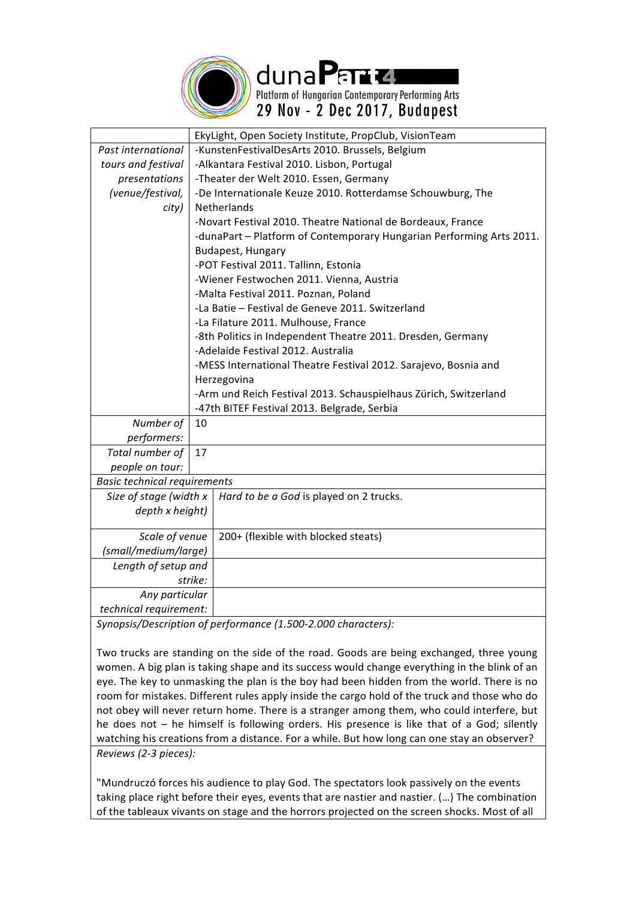

dunaPand Platform of Hungarian Contemporary Performing Arts 29 Nov - 2 Dec 2017, Budapest

|                                     | EkyLight, Open Society Institute, PropClub, VisionTeam               |  |
|-------------------------------------|----------------------------------------------------------------------|--|
| Past international                  | -KunstenFestivalDesArts 2010. Brussels, Belgium                      |  |
| tours and festival                  | -Alkantara Festival 2010. Lisbon, Portugal                           |  |
| presentations                       | -Theater der Welt 2010. Essen, Germany                               |  |
| (venue/festival,                    | -De Internationale Keuze 2010. Rotterdamse Schouwburg, The           |  |
| city)                               | <b>Netherlands</b>                                                   |  |
|                                     | -Novart Festival 2010. Theatre National de Bordeaux, France          |  |
|                                     | -dunaPart - Platform of Contemporary Hungarian Performing Arts 2011. |  |
|                                     | Budapest, Hungary                                                    |  |
|                                     | -POT Festival 2011. Tallinn, Estonia                                 |  |
|                                     | -Wiener Festwochen 2011. Vienna, Austria                             |  |
|                                     | -Malta Festival 2011. Poznan, Poland                                 |  |
|                                     | -La Batie - Festival de Geneve 2011. Switzerland                     |  |
|                                     | -La Filature 2011. Mulhouse, France                                  |  |
|                                     | -8th Politics in Independent Theatre 2011. Dresden, Germany          |  |
|                                     | -Adelaide Festival 2012. Australia                                   |  |
|                                     | -MESS International Theatre Festival 2012. Sarajevo, Bosnia and      |  |
|                                     | Herzegovina                                                          |  |
|                                     | -Arm und Reich Festival 2013. Schauspielhaus Zürich, Switzerland     |  |
|                                     | -47th BITEF Festival 2013. Belgrade, Serbia                          |  |
| Number of                           | 10                                                                   |  |
| performers:                         |                                                                      |  |
| Total number of                     | 17                                                                   |  |
| people on tour:                     |                                                                      |  |
| <b>Basic technical requirements</b> |                                                                      |  |
| Size of stage (width x              | Hard to be a God is played on 2 trucks.                              |  |
| depth x height)                     |                                                                      |  |
|                                     |                                                                      |  |
| Scale of venue                      | 200+ (flexible with blocked steats)                                  |  |
| (small/medium/large)                |                                                                      |  |
| Length of setup and                 |                                                                      |  |
|                                     | strike:                                                              |  |
| Any particular                      |                                                                      |  |
| technical requirement:              |                                                                      |  |

Synopsis/Description of performance (1.500-2.000 characters):

Two trucks are standing on the side of the road. Goods are being exchanged, three young women. A big plan is taking shape and its success would change everything in the blink of an eye. The key to unmasking the plan is the boy had been hidden from the world. There is no room for mistakes. Different rules apply inside the cargo hold of the truck and those who do not obey will never return home. There is a stranger among them, who could interfere, but he does not – he himself is following orders. His presence is like that of a God; silently watching his creations from a distance. For a while. But how long can one stay an observer? *Reviews (2-3 pieces):*

"Mundruczó forces his audience to play God. The spectators look passively on the events taking place right before their eyes, events that are nastier and nastier. (...) The combination of the tableaux vivants on stage and the horrors projected on the screen shocks. Most of all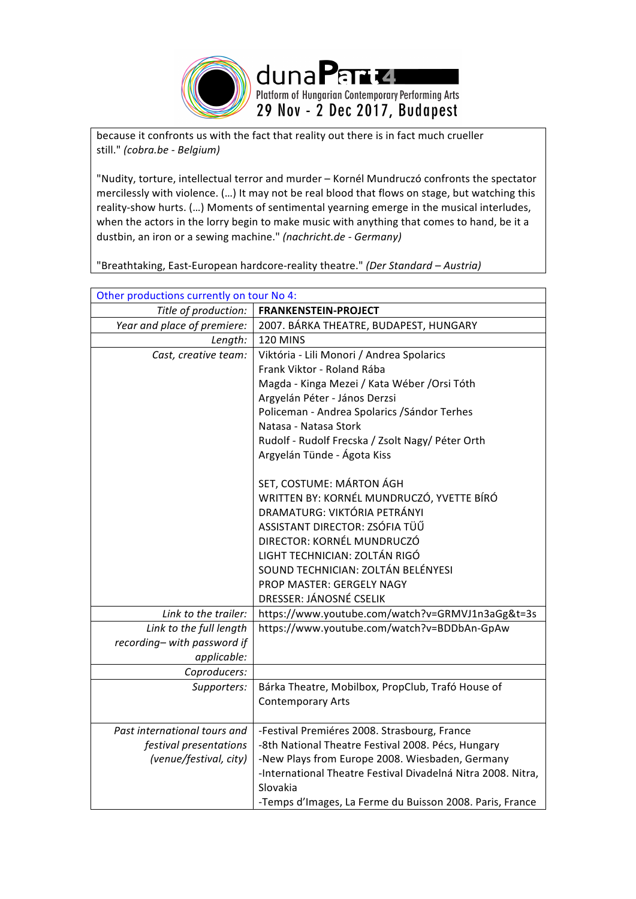

because it confronts us with the fact that reality out there is in fact much crueller still." *(cobra.be - Belgium)*

"Nudity, torture, intellectual terror and murder - Kornél Mundruczó confronts the spectator mercilessly with violence. (...) It may not be real blood that flows on stage, but watching this reality-show hurts. (...) Moments of sentimental yearning emerge in the musical interludes, when the actors in the lorry begin to make music with anything that comes to hand, be it a dustbin, an iron or a sewing machine." *(nachricht.de - Germany)* 

"Breathtaking, East-European hardcore-reality theatre." *(Der Standard – Austria)* 

| Other productions currently on tour No 4: |                                                              |  |
|-------------------------------------------|--------------------------------------------------------------|--|
| Title of production:                      | <b>FRANKENSTEIN-PROJECT</b>                                  |  |
| Year and place of premiere:               | 2007. BÁRKA THEATRE, BUDAPEST, HUNGARY                       |  |
| Length:                                   | <b>120 MINS</b>                                              |  |
| Cast, creative team:                      | Viktória - Lili Monori / Andrea Spolarics                    |  |
|                                           | Frank Viktor - Roland Rába                                   |  |
|                                           | Magda - Kinga Mezei / Kata Wéber / Orsi Tóth                 |  |
|                                           | Argyelán Péter - János Derzsi                                |  |
|                                           | Policeman - Andrea Spolarics / Sándor Terhes                 |  |
|                                           | Natasa - Natasa Stork                                        |  |
|                                           | Rudolf - Rudolf Frecska / Zsolt Nagy/ Péter Orth             |  |
|                                           | Argyelán Tünde - Ágota Kiss                                  |  |
|                                           |                                                              |  |
|                                           | SET, COSTUME: MÁRTON ÁGH                                     |  |
|                                           | WRITTEN BY: KORNÉL MUNDRUCZÓ, YVETTE BÍRÓ                    |  |
|                                           | DRAMATURG: VIKTÓRIA PETRÁNYI                                 |  |
|                                           | ASSISTANT DIRECTOR: ZSÓFIA TÜŰ                               |  |
|                                           | DIRECTOR: KORNÉL MUNDRUCZÓ                                   |  |
|                                           | LIGHT TECHNICIAN: ZOLTÁN RIGÓ                                |  |
|                                           | SOUND TECHNICIAN: ZOLTÁN BELÉNYESI                           |  |
|                                           | PROP MASTER: GERGELY NAGY                                    |  |
|                                           | DRESSER: JÁNOSNÉ CSELIK                                      |  |
| Link to the trailer:                      | https://www.youtube.com/watch?v=GRMVJ1n3aGg&t=3s             |  |
| Link to the full length                   | https://www.youtube.com/watch?v=BDDbAn-GpAw                  |  |
| recording-with password if                |                                                              |  |
| applicable:                               |                                                              |  |
| Coproducers:                              |                                                              |  |
| Supporters:                               | Bárka Theatre, Mobilbox, PropClub, Trafó House of            |  |
|                                           | <b>Contemporary Arts</b>                                     |  |
|                                           |                                                              |  |
| Past international tours and              | -Festival Premiéres 2008. Strasbourg, France                 |  |
| festival presentations                    | -8th National Theatre Festival 2008. Pécs, Hungary           |  |
| (venue/festival, city)                    | -New Plays from Europe 2008. Wiesbaden, Germany              |  |
|                                           | -International Theatre Festival Divadelná Nitra 2008. Nitra, |  |
|                                           | Slovakia                                                     |  |
|                                           | -Temps d'Images, La Ferme du Buisson 2008. Paris, France     |  |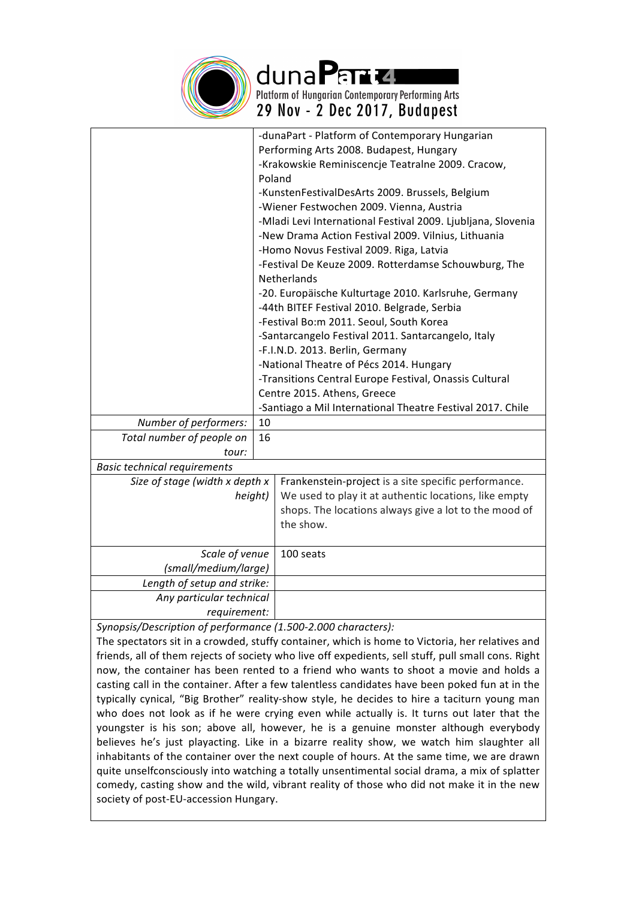

duna Para z Platform of Hungarian Contemporary Performing Arts 29 Nov - 2 Dec 2017, Budapest

|                                     |    | -dunaPart - Platform of Contemporary Hungarian               |  |  |
|-------------------------------------|----|--------------------------------------------------------------|--|--|
|                                     |    | Performing Arts 2008. Budapest, Hungary                      |  |  |
|                                     |    | -Krakowskie Reminiscencje Teatralne 2009. Cracow,            |  |  |
|                                     |    | Poland                                                       |  |  |
|                                     |    | -KunstenFestivalDesArts 2009. Brussels, Belgium              |  |  |
|                                     |    | -Wiener Festwochen 2009. Vienna, Austria                     |  |  |
|                                     |    | -Mladi Levi International Festival 2009. Ljubljana, Slovenia |  |  |
|                                     |    | -New Drama Action Festival 2009. Vilnius, Lithuania          |  |  |
|                                     |    | -Homo Novus Festival 2009. Riga, Latvia                      |  |  |
|                                     |    | -Festival De Keuze 2009. Rotterdamse Schouwburg, The         |  |  |
|                                     |    | <b>Netherlands</b>                                           |  |  |
|                                     |    | -20. Europäische Kulturtage 2010. Karlsruhe, Germany         |  |  |
|                                     |    | -44th BITEF Festival 2010. Belgrade, Serbia                  |  |  |
|                                     |    | -Festival Bo:m 2011. Seoul, South Korea                      |  |  |
|                                     |    | -Santarcangelo Festival 2011. Santarcangelo, Italy           |  |  |
|                                     |    | -F.I.N.D. 2013. Berlin, Germany                              |  |  |
|                                     |    | -National Theatre of Pécs 2014. Hungary                      |  |  |
|                                     |    | -Transitions Central Europe Festival, Onassis Cultural       |  |  |
|                                     |    | Centre 2015. Athens, Greece                                  |  |  |
|                                     |    | -Santiago a Mil International Theatre Festival 2017. Chile   |  |  |
| Number of performers:               | 10 |                                                              |  |  |
| Total number of people on           | 16 |                                                              |  |  |
| tour:                               |    |                                                              |  |  |
| <b>Basic technical requirements</b> |    |                                                              |  |  |
| Size of stage (width x depth x      |    | Frankenstein-project is a site specific performance.         |  |  |
| height)                             |    | We used to play it at authentic locations, like empty        |  |  |
|                                     |    | shops. The locations always give a lot to the mood of        |  |  |
|                                     |    | the show.                                                    |  |  |
|                                     |    |                                                              |  |  |
| Scale of venue                      |    | 100 seats                                                    |  |  |
| (small/medium/large)                |    |                                                              |  |  |
| Length of setup and strike:         |    |                                                              |  |  |
| Any particular technical            |    |                                                              |  |  |
| requirement:                        |    |                                                              |  |  |

Synopsis/Description of performance (1.500-2.000 characters):

The spectators sit in a crowded, stuffy container, which is home to Victoria, her relatives and friends, all of them rejects of society who live off expedients, sell stuff, pull small cons. Right now, the container has been rented to a friend who wants to shoot a movie and holds a casting call in the container. After a few talentless candidates have been poked fun at in the typically cynical, "Big Brother" reality-show style, he decides to hire a taciturn young man who does not look as if he were crying even while actually is. It turns out later that the youngster is his son; above all, however, he is a genuine monster although everybody believes he's just playacting. Like in a bizarre reality show, we watch him slaughter all inhabitants of the container over the next couple of hours. At the same time, we are drawn quite unselfconsciously into watching a totally unsentimental social drama, a mix of splatter comedy, casting show and the wild, vibrant reality of those who did not make it in the new society of post-EU-accession Hungary.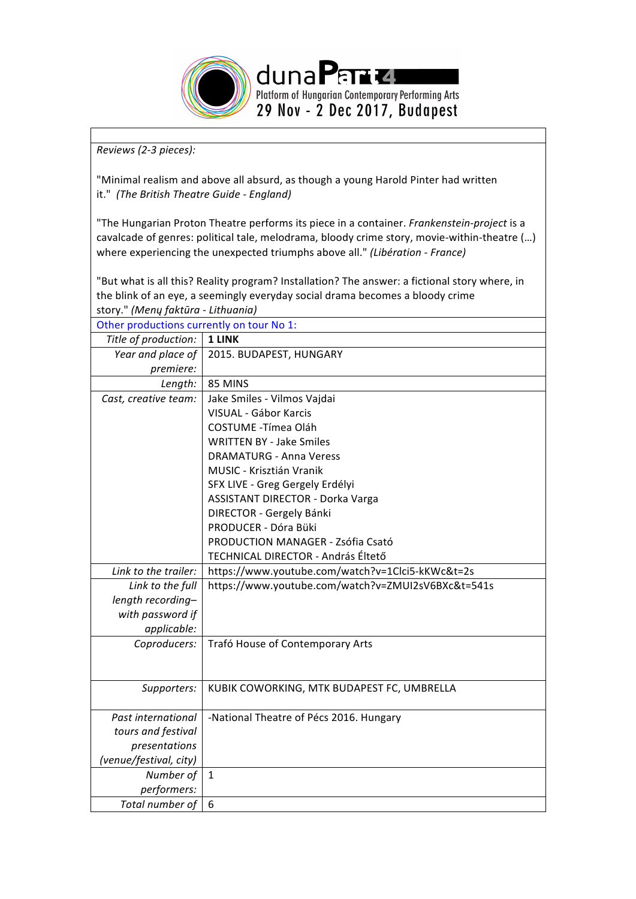

*Reviews (2-3 pieces):* 

"Minimal realism and above all absurd, as though a young Harold Pinter had written it." (The British Theatre Guide - England)

"The Hungarian Proton Theatre performs its piece in a container. *Frankenstein-project* is a cavalcade of genres: political tale, melodrama, bloody crime story, movie-within-theatre (...) where experiencing the unexpected triumphs above all." *(Libération - France)* 

"But what is all this? Reality program? Installation? The answer: a fictional story where, in the blink of an eye, a seemingly everyday social drama becomes a bloody crime story." *(Menų faktūra - Lithuania)*

| Other productions currently on tour No 1: |                                                    |  |  |  |
|-------------------------------------------|----------------------------------------------------|--|--|--|
| Title of production:                      | 1 LINK                                             |  |  |  |
| Year and place of                         | 2015. BUDAPEST, HUNGARY                            |  |  |  |
| premiere:                                 |                                                    |  |  |  |
| Length:                                   | 85 MINS                                            |  |  |  |
| Cast, creative team:                      | Jake Smiles - Vilmos Vajdai                        |  |  |  |
|                                           | VISUAL - Gábor Karcis                              |  |  |  |
|                                           | COSTUME - Tímea Oláh                               |  |  |  |
|                                           | <b>WRITTEN BY - Jake Smiles</b>                    |  |  |  |
|                                           | <b>DRAMATURG - Anna Veress</b>                     |  |  |  |
|                                           | MUSIC - Krisztián Vranik                           |  |  |  |
|                                           | SFX LIVE - Greg Gergely Erdélyi                    |  |  |  |
|                                           | <b>ASSISTANT DIRECTOR - Dorka Varga</b>            |  |  |  |
|                                           | DIRECTOR - Gergely Bánki                           |  |  |  |
|                                           | PRODUCER - Dóra Büki                               |  |  |  |
|                                           | PRODUCTION MANAGER - Zsófia Csató                  |  |  |  |
|                                           | TECHNICAL DIRECTOR - András Éltető                 |  |  |  |
| Link to the trailer:                      | https://www.youtube.com/watch?v=1Clci5-kKWc&t=2s   |  |  |  |
| Link to the full                          | https://www.youtube.com/watch?v=ZMUI2sV6BXc&t=541s |  |  |  |
| length recording-                         |                                                    |  |  |  |
| with password if                          |                                                    |  |  |  |
| applicable:                               |                                                    |  |  |  |
| Coproducers:                              | Trafó House of Contemporary Arts                   |  |  |  |
|                                           |                                                    |  |  |  |
|                                           |                                                    |  |  |  |
| Supporters:                               | KUBIK COWORKING, MTK BUDAPEST FC, UMBRELLA         |  |  |  |
|                                           |                                                    |  |  |  |
| Past international                        | -National Theatre of Pécs 2016. Hungary            |  |  |  |
| tours and festival                        |                                                    |  |  |  |
| presentations                             |                                                    |  |  |  |
| (venue/festival, city)                    |                                                    |  |  |  |
| Number of                                 | $\mathbf{1}$                                       |  |  |  |
| performers:                               |                                                    |  |  |  |
| Total number of                           | 6                                                  |  |  |  |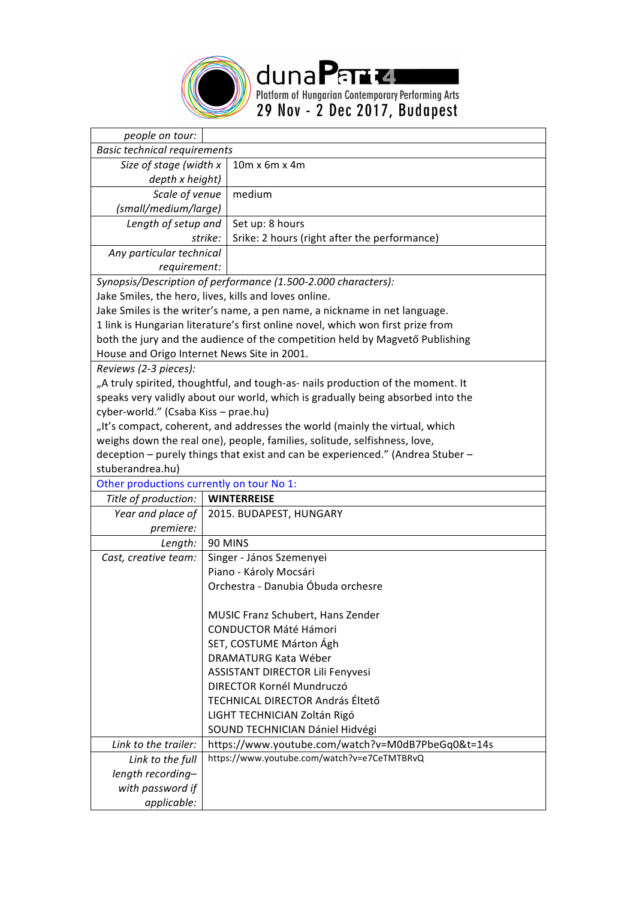

duna Parte.<br>Platform of Hungarian Contemporary Performing Arts<br>29 Nov - 2 Dec 2017, Budapest

| people on tour:                             |                                                                                 |  |  |  |
|---------------------------------------------|---------------------------------------------------------------------------------|--|--|--|
| <b>Basic technical requirements</b>         |                                                                                 |  |  |  |
| Size of stage (width x                      | 10m x 6m x 4m                                                                   |  |  |  |
| depth x height)                             |                                                                                 |  |  |  |
| Scale of venue                              | medium                                                                          |  |  |  |
| (small/medium/large)                        |                                                                                 |  |  |  |
| Length of setup and                         | Set up: 8 hours                                                                 |  |  |  |
| strike:                                     | Srike: 2 hours (right after the performance)                                    |  |  |  |
| Any particular technical                    |                                                                                 |  |  |  |
| requirement:                                |                                                                                 |  |  |  |
|                                             | Synopsis/Description of performance (1.500-2.000 characters):                   |  |  |  |
|                                             | Jake Smiles, the hero, lives, kills and loves online.                           |  |  |  |
|                                             | Jake Smiles is the writer's name, a pen name, a nickname in net language.       |  |  |  |
|                                             | 1 link is Hungarian literature's first online novel, which won first prize from |  |  |  |
|                                             | both the jury and the audience of the competition held by Magvető Publishing    |  |  |  |
| House and Origo Internet News Site in 2001. |                                                                                 |  |  |  |
| Reviews (2-3 pieces):                       |                                                                                 |  |  |  |
|                                             | "A truly spirited, thoughtful, and tough-as- nails production of the moment. It |  |  |  |
|                                             | speaks very validly about our world, which is gradually being absorbed into the |  |  |  |
| cyber-world." (Csaba Kiss - prae.hu)        |                                                                                 |  |  |  |
|                                             | "It's compact, coherent, and addresses the world (mainly the virtual, which     |  |  |  |
|                                             | weighs down the real one), people, families, solitude, selfishness, love,       |  |  |  |
|                                             | deception - purely things that exist and can be experienced." (Andrea Stuber -  |  |  |  |
| stuberandrea.hu)                            |                                                                                 |  |  |  |
| Other productions currently on tour No 1:   |                                                                                 |  |  |  |
| Title of production:                        | <b>WINTERREISE</b>                                                              |  |  |  |
| Year and place of                           | 2015. BUDAPEST, HUNGARY                                                         |  |  |  |
| premiere:                                   |                                                                                 |  |  |  |
| Length:                                     | 90 MINS                                                                         |  |  |  |
| Cast, creative team:                        | Singer - János Szemenyei                                                        |  |  |  |
|                                             | Piano - Károly Mocsári                                                          |  |  |  |
|                                             | Orchestra - Danubia Óbuda orchesre                                              |  |  |  |
|                                             |                                                                                 |  |  |  |
|                                             | MUSIC Franz Schubert, Hans Zender                                               |  |  |  |
|                                             | <b>CONDUCTOR Máté Hámori</b>                                                    |  |  |  |
|                                             | SET, COSTUME Márton Ágh                                                         |  |  |  |
|                                             | DRAMATURG Kata Wéber                                                            |  |  |  |
|                                             | ASSISTANT DIRECTOR Lili Fenyvesi                                                |  |  |  |
|                                             | DIRECTOR Kornél Mundruczó                                                       |  |  |  |
|                                             | TECHNICAL DIRECTOR András Éltető                                                |  |  |  |
|                                             | LIGHT TECHNICIAN Zoltán Rigó                                                    |  |  |  |
|                                             | SOUND TECHNICIAN Dániel Hidvégi                                                 |  |  |  |
| Link to the trailer:                        | https://www.youtube.com/watch?v=M0dB7PbeGq0&t=14s                               |  |  |  |
| Link to the full                            | https://www.youtube.com/watch?v=e7CeTMTBRvQ                                     |  |  |  |
| length recording-                           |                                                                                 |  |  |  |
| with password if                            |                                                                                 |  |  |  |
| applicable:                                 |                                                                                 |  |  |  |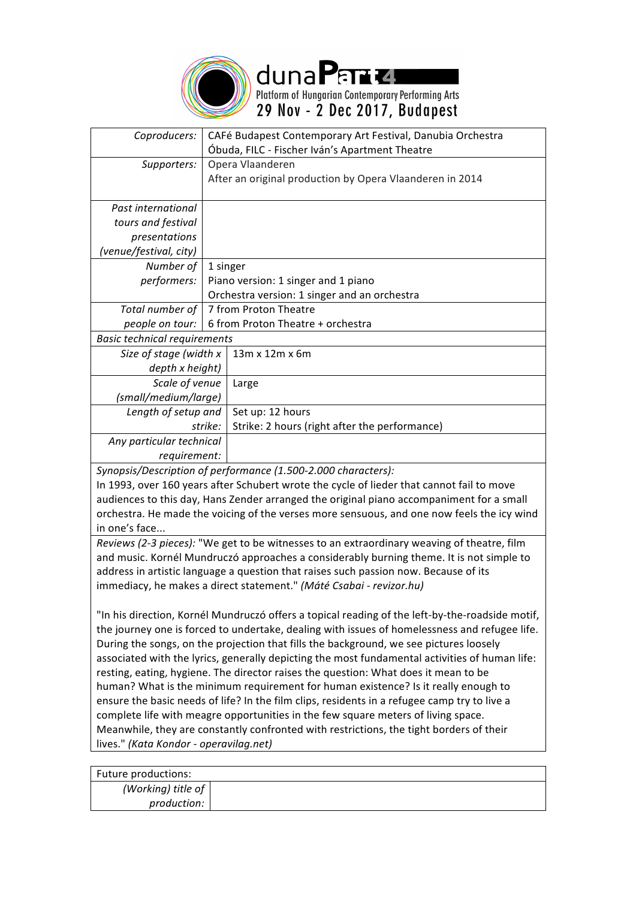

duna Para z Platform of Hungarian Contemporary Performing Arts 29 Nov - 2 Dec 2017, Budapest

| Coproducers:                                                                              | CAFé Budapest Contemporary Art Festival, Danubia Orchestra |                                                          |  |  |
|-------------------------------------------------------------------------------------------|------------------------------------------------------------|----------------------------------------------------------|--|--|
|                                                                                           |                                                            | Óbuda, FILC - Fischer Iván's Apartment Theatre           |  |  |
| Supporters:                                                                               | Opera Vlaanderen                                           |                                                          |  |  |
|                                                                                           |                                                            | After an original production by Opera Vlaanderen in 2014 |  |  |
|                                                                                           |                                                            |                                                          |  |  |
| Past international                                                                        |                                                            |                                                          |  |  |
| tours and festival                                                                        |                                                            |                                                          |  |  |
| presentations                                                                             |                                                            |                                                          |  |  |
| (venue/festival, city)                                                                    |                                                            |                                                          |  |  |
| Number of                                                                                 | 1 singer                                                   |                                                          |  |  |
| performers:                                                                               | Piano version: 1 singer and 1 piano                        |                                                          |  |  |
|                                                                                           | Orchestra version: 1 singer and an orchestra               |                                                          |  |  |
| Total number of                                                                           | 7 from Proton Theatre                                      |                                                          |  |  |
| people on tour:                                                                           | 6 from Proton Theatre + orchestra                          |                                                          |  |  |
| <b>Basic technical requirements</b>                                                       |                                                            |                                                          |  |  |
| Size of stage (width x                                                                    |                                                            | 13m x 12m x 6m                                           |  |  |
| depth x height)                                                                           |                                                            |                                                          |  |  |
| Scale of venue                                                                            |                                                            | Large                                                    |  |  |
| (small/medium/large)                                                                      |                                                            |                                                          |  |  |
| Length of setup and                                                                       |                                                            | Set up: 12 hours                                         |  |  |
| strike:                                                                                   |                                                            | Strike: 2 hours (right after the performance)            |  |  |
| Any particular technical                                                                  |                                                            |                                                          |  |  |
| requirement:                                                                              |                                                            |                                                          |  |  |
| Synopsis/Description of performance (1.500-2.000 characters):                             |                                                            |                                                          |  |  |
| In 1993, over 160 years after Schubert wrote the cycle of lieder that cannot fail to move |                                                            |                                                          |  |  |
| audiences to this day. Hans Zender arranged the original piano accompaniment for a small  |                                                            |                                                          |  |  |

. Hans Zender arranged the original blano accomp orchestra. He made the voicing of the verses more sensuous, and one now feels the icy wind in one's face...

*Reviews* (2-3 pieces): "We get to be witnesses to an extraordinary weaving of theatre, film and music. Kornél Mundruczó approaches a considerably burning theme. It is not simple to address in artistic language a question that raises such passion now. Because of its immediacy, he makes a direct statement." *(Máté Csabai - revizor.hu)*

"In his direction, Kornél Mundruczó offers a topical reading of the left-by-the-roadside motif, the journey one is forced to undertake, dealing with issues of homelessness and refugee life. During the songs, on the projection that fills the background, we see pictures loosely associated with the lyrics, generally depicting the most fundamental activities of human life: resting, eating, hygiene. The director raises the question: What does it mean to be human? What is the minimum requirement for human existence? Is it really enough to ensure the basic needs of life? In the film clips, residents in a refugee camp try to live a complete life with meagre opportunities in the few square meters of living space. Meanwhile, they are constantly confronted with restrictions, the tight borders of their lives." *(Kata Kondor - operavilag.net)*

| Future productions:        |  |
|----------------------------|--|
| (Working) title of $\vert$ |  |
| production:                |  |